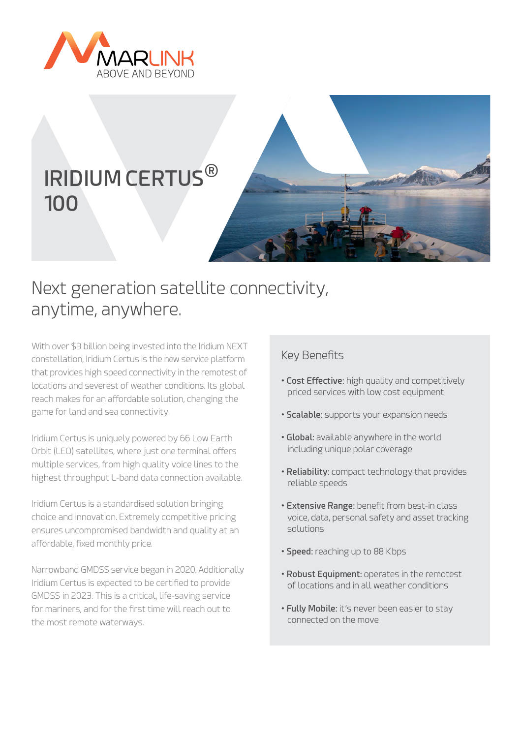

# **IRIDIUM CERTUS**® **100**



## Next generation satellite connectivity, anytime, anywhere.

With over \$3 billion being invested into the Iridium NEXT constellation, Iridium Certus is the new service platform that provides high speed connectivity in the remotest of locations and severest of weather conditions. Its global reach makes for an affordable solution, changing the game for land and sea connectivity.

Iridium Certus is uniquely powered by 66 Low Earth Orbit (LEO) satellites, where just one terminal offers multiple services, from high quality voice lines to the highest throughput L-band data connection available.

Iridium Certus is a standardised solution bringing choice and innovation. Extremely competitive pricing ensures uncompromised bandwidth and quality at an affordable, fixed monthly price.

Narrowband GMDSS service began in 2020. Additionally Iridium Certus is expected to be certified to provide GMDSS in 2023. This is a critical, life-saving service for mariners, and for the first time will reach out to the most remote waterways.

### Key Benefits

- **Cost Effective:** high quality and competitively priced services with low cost equipment
- **Scalable:** supports your expansion needs
- **Global:** available anywhere in the world including unique polar coverage
- **Reliability:** compact technology that provides reliable speeds
- **Extensive Range:** benefit from best-in class voice, data, personal safety and asset tracking solutions
- **Speed:** reaching up to 88 Kbps
- **Robust Equipment:** operates in the remotest of locations and in all weather conditions
- **Fully Mobile:** it's never been easier to stay connected on the move